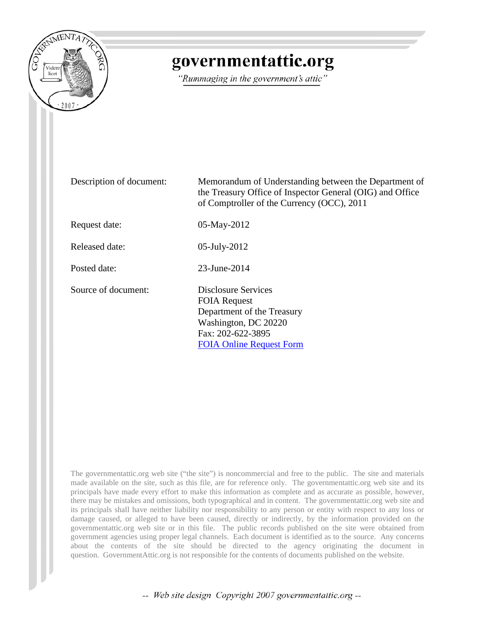

## governmentattic.org

"Rummaging in the government's attic"

| Description of document: | Memorandum of Understanding between the Department of<br>the Treasury Office of Inspector General (OIG) and Office<br>of Comptroller of the Currency (OCC), 2011 |
|--------------------------|------------------------------------------------------------------------------------------------------------------------------------------------------------------|
| Request date:            | 05-May-2012                                                                                                                                                      |
| Released date:           | $05$ -July-2012                                                                                                                                                  |
| Posted date:             | 23-June-2014                                                                                                                                                     |
| Source of document:      | Disclosure Services<br><b>FOIA Request</b><br>Department of the Treasury<br>Washington, DC 20220<br>Fax: 202-622-3895<br><b>FOIA Online Request Form</b>         |

The governmentattic.org web site ("the site") is noncommercial and free to the public. The site and materials made available on the site, such as this file, are for reference only. The governmentattic.org web site and its principals have made every effort to make this information as complete and as accurate as possible, however, there may be mistakes and omissions, both typographical and in content. The governmentattic.org web site and its principals shall have neither liability nor responsibility to any person or entity with respect to any loss or damage caused, or alleged to have been caused, directly or indirectly, by the information provided on the governmentattic.org web site or in this file. The public records published on the site were obtained from government agencies using proper legal channels. Each document is identified as to the source. Any concerns about the contents of the site should be directed to the agency originating the document in question. GovernmentAttic.org is not responsible for the contents of documents published on the website.

-- Web site design Copyright 2007 governmentattic.org --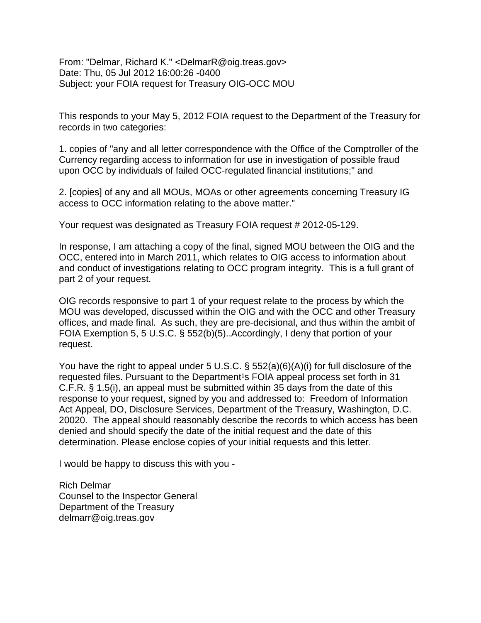From: "Delmar, Richard K." <DelmarR@oig.treas.gov> Date: Thu, 05 Jul 2012 16:00:26 -0400 Subject: your FOIA request for Treasury OIG-OCC MOU

This responds to your May 5, 2012 FOIA request to the Department of the Treasury for records in two categories:

1. copies of "any and all letter correspondence with the Office of the Comptroller of the Currency regarding access to information for use in investigation of possible fraud upon OCC by individuals of failed OCC-regulated financial institutions;" and

2. [copies] of any and all MOUs, MOAs or other agreements concerning Treasury IG access to OCC information relating to the above matter."

Your request was designated as Treasury FOIA request # 2012-05-129.

In response, I am attaching a copy of the final, signed MOU between the OIG and the OCC, entered into in March 2011, which relates to OIG access to information about and conduct of investigations relating to OCC program integrity. This is a full grant of part 2 of your request.

OIG records responsive to part 1 of your request relate to the process by which the MOU was developed, discussed within the OIG and with the OCC and other Treasury offices, and made final. As such, they are pre-decisional, and thus within the ambit of FOIA Exemption 5, 5 U.S.C. § 552(b)(5)..Accordingly, I deny that portion of your request.

You have the right to appeal under 5 U.S.C. § 552(a)(6)(A)(i) for full disclosure of the requested files. Pursuant to the Department<sup>1</sup>s FOIA appeal process set forth in 31 C.F.R. § 1.5(i), an appeal must be submitted within 35 days from the date of this response to your request, signed by you and addressed to: Freedom of Information Act Appeal, DO, Disclosure Services, Department of the Treasury, Washington, D.C. 20020. The appeal should reasonably describe the records to which access has been denied and should specify the date of the initial request and the date of this determination. Please enclose copies of your initial requests and this letter.

I would be happy to discuss this with you -

Rich Delmar Counsel to the Inspector General Department of the Treasury delmarr@oig.treas.gov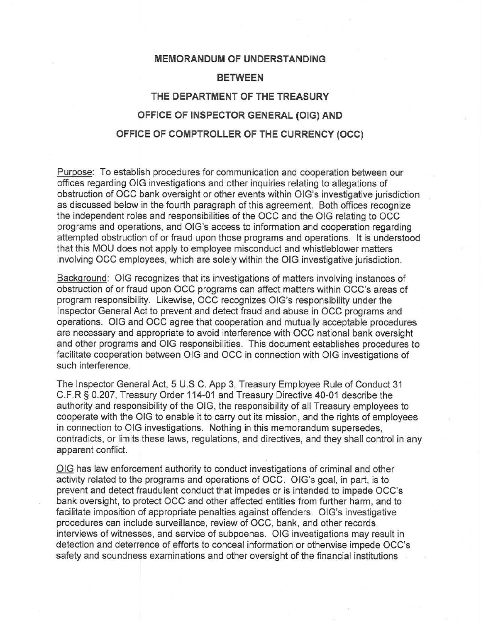## MEMORANDUM OF UNDERSTANDING **BETWEEN** THE DEPARTMENT OF THE TREASURY OFFICE OF INSPECTOR GENERAL (OIG) AND OFFICE OF COMPTROLLER OF THE CURRENCY (OCC)

Purpose: To establish procedures for communication and cooperation between our offices regarding OIG investigations and other inquiries relating to allegations of obstruction of OCC bank oversight or other events within OIG's investigative jurisdiction as discussed below in the fourth paragraph of this agreement. Both offices recognize the independent roles and responsibilities of the OCC and the OIG relating to OCC programs and operations, and OIG's access to information and cooperation regarding attempted obstruction of or fraud upon those programs and operations. It is understood that this MOU does not apply to employee misconduct and whistleblower matters involving OCC employees, which are solely within the OIG investigative jurisdiction.

Background: OIG recognizes that its investigations of matters involving instances of obstruction of or fraud upon OCC programs can affect matters within OCC's areas of program responsibility. Likewise, OCC recognizes OIG's responsibility under the Inspector General Act to prevent and detect fraud and abuse in OCC programs and operations. OIG and OCC agree that cooperation and mutually acceptable procedures are necessary and appropriate to avoid interference with OCC national bank oversight and other programs and OIG responsibilities. This document establishes procedures to facilitate cooperation between OIG and OCC in connection with OIG investigations of such interference.

The Inspector General Act, 5 U.S.C. App 3, Treasury Employee Rule of Conduct 31 C.F.R § 0.207, Treasury Order 114-01 and Treasury Directive 40-01 describe the authority and responsibility of the OIG, the responsibility of all Treasury employees to cooperate with the OIG to enable it to carry out its mission, and the rights of employees in connection to OIG investigations. Nothing in this memorandum supersedes, contradicts, or limits these laws, regulations, and directives, and they shall control in any apparent conflict.

OIG has law enforcement authority to conduct investigations of criminal and other activity related to the programs and operations of OCC. OIG's goal, in part, is to prevent and detect fraudulent conduct that impedes or is intended to impede OCC's bank oversight, to protect OCC and other affected entities from further harm, and to facilitate imposition of appropriate penalties against offenders. OIG's investigative procedures can include surveillance, review of OCC, bank, and other records, interviews of witnesses, and service of subpoenas. OIG investigations may result in detection and deterrence of efforts to conceal information or otherwise impede OCC's safety and soundness examinations and other oversight of the financial institutions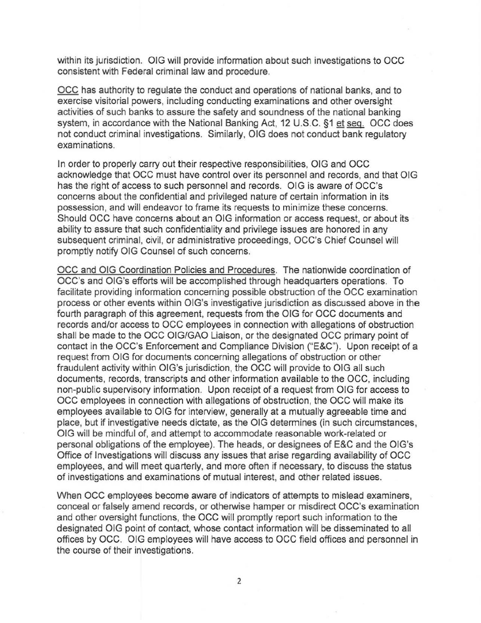within its jurisdiction. OIG will provide information about such investigations to OCC consistent with Federal criminal law and procedure.

OCC has authority to regulate the conduct and operations of national banks, and to exercise visitorial powers, including conducting examinations and other oversight activities of such banks to assure the safety and soundness of the national banking system, in accordance with the National Banking Act, 12 U.S.C. §1 et seq. OCC does not conduct criminal investigations. Similarly, OIG does not conduct bank regulatory examinations.

In order to properly carry out their respective responsibilities, OIG and OCC acknowledge that OCC must have control over its personnel and records, and that OIG has the right of access to such personnel and records. OIG is aware of OCC's concerns about the confidential and privileged nature of certain information in its possession, and will endeavor to frame its requests to minimize these concerns. Should OCC have concerns about an OIG information or access request, or about its ability to assure that such confidentiality and privilege issues are honored in any subsequent criminal, civil, or administrative proceedings, OCC's Chief Counsel will promptly notify OIG Counsel of such concerns.

OCC and OIG Coordination Policies and Procedures. The nationwide coordination of OCC's and OIG's efforts will be accomplished through headquarters operations. To facilitate providing information concerning possible obstruction of the OCC examination process or other events within OIG's investigative jurisdiction as discussed above in the fourth paragraph of this agreement, requests from the OIG for OCC documents and records and/or access to OCC employees in connection with allegations of obstruction shall be made to the OCC OIG/GAO Liaison, or the designated OCC primary point of contact in the OCC's Enforcement and Compliance Division ("E&C"). Upon receipt of a request from OIG for documents concerning allegations of obstruction or other fraudulent activity within OIG's jurisdiction, the OCC will provide to OIG all such documents, records, transcripts and other information available to the OCC, including non-public supervisory information. Upon receipt of a request from OIG for access to OCC employees in connection with allegations of obstruction, the OCC will make its employees available to OIG for interview, generally at a mutually agreeable time and place, but if investigative needs dictate, as the OIG determines (in such circumstances, OIG will be mindful of, and attempt to accommodate reasonable work-related or personal obligations of the employee). The heads, or designees of E&C and the OIG's Office of Investigations will discuss any issues that arise regarding availability of OCC employees, and will meet quarterly, and more often if necessary, to discuss the status of investigations and examinations of mutual interest, and other related issues.

When OCC employees become aware of indicators of attempts to mislead examiners, conceal or falsely amend records, or otherwise hamper or misdirect OCC's examination and other oversight functions, the OCC will promptly report such information to the designated OIG point of contact, whose contact information will be disseminated to all offices by OCC. OIG employees will have access to OCC field offices and personnel in the course of their investigations.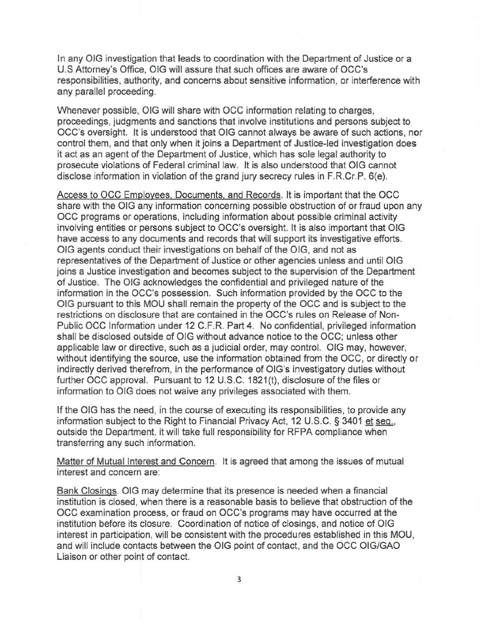In any OIG investigation that leads to coordination with the Department of Justice or a U.S Attorney's Office, OIG will assure that such offices are aware of OCC's responsibilities, authority, and concerns about sensitive information, or interference with any parallel proceeding.

Whenever possible, OIG will share with OCC information relating to charges, proceedings, judgments and sanctions that involve institutions and persons subject to OCC's oversight. It is understood that OIG cannot always be aware of such actions, nor control them, and that only when it joins a Department of Justice-led investigation does it act as an agent of the Department of Justice, which has sole legal authority to prosecute violations of Federal criminal law. It is also understood that OIG cannot disclose information in violation of the grand jury secrecy rules in F.R.Cr.P. 6(e).

Access to OCC Employees. Documents. and Records. It is important that the OCC share with the OIG any information concerning possible obstruction of or fraud upon any OCC programs or operations, including information about possible criminal activity involving entities or persons subject to OCC's oversight. It is also important that OIG have access to any documents and records that will support its investigative efforts. OIG agents conduct their investigations on behalf of the OIG, and not as representatives of the Department of Justice or other agencies unless and until OlG joins a Justice investigation and becomes subject to the supervision of the Department of Justice. The OIG acknowledges the confidential and privileged nature of the information in the OCC's possession. Such information provided by the OCC to the OIG pursuant to this MOU shall remain the property of the OCC and is subject to the restrictions on disclosure that are contained in the OCC's rules on Release of Non-Public OCC Information under 12 C.F.R. Part 4. No confidential, privileged information shall be disclosed outside of OIG without advance notice to the OCC; unless other applicable law or directive, such as a judicial order, may control. OIG may, however, without identifying the source, use the information obtained from the OCC, or directly or indirectly derived therefrom, in the performance of OIG's investigatory duties without further OCC approval. Pursuant to 12 U.S.C. 1821(t), disclosure of the files or information to OIG does not waive any privileges associated with them.

If the OIG has the need, in the course of executing its responsibilities, to provide any information subject to the Right to Financial Privacy Act, 12 U.S.C. § 3401 et seq., outside the Department, it will take full responsibility for RFPA compliance when transferring any such information.

Matter of Mutual Interest and Concern. It is agreed that among the issues of mutual interest and concern are:

Bank Closings. OIG may determine that its presence is needed when a financial institution is closed, when there is a reasonable basis to believe that obstruction of the OCC examination process, or fraud on OCC's programs may have occurred at the institution before its closure. Coordination of notice of closings, and notice of OIG interest in participation, will be consistent with the procedures established in this MOU, and will include contacts between the OIG point of contact, and the OCC OIG/GAO Liaison or other point of contact.